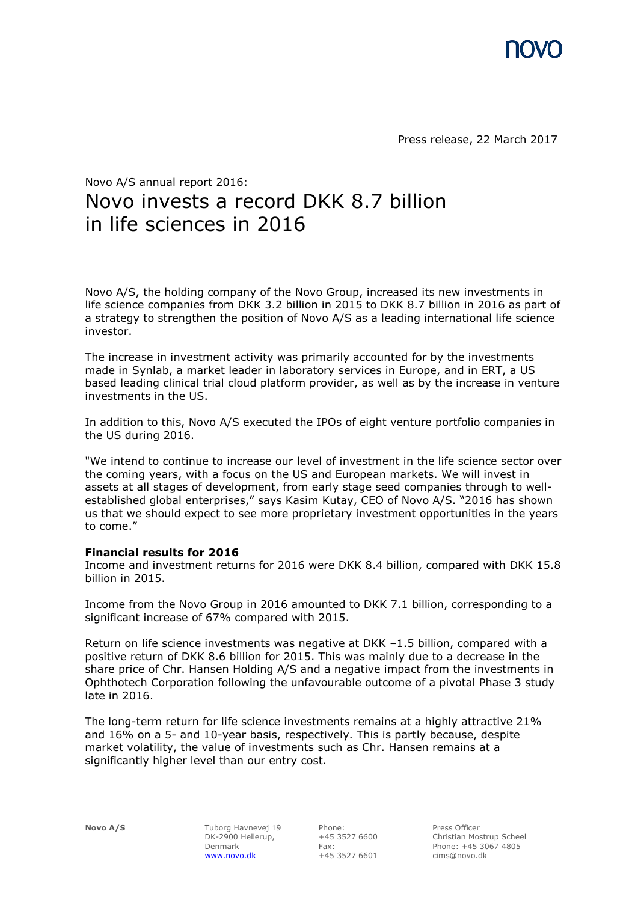

Press release, 22 March 2017

# Novo A/S annual report 2016: Novo invests a record DKK 8.7 billion in life sciences in 2016

Novo A/S, the holding company of the Novo Group, increased its new investments in life science companies from DKK 3.2 billion in 2015 to DKK 8.7 billion in 2016 as part of a strategy to strengthen the position of Novo A/S as a leading international life science investor.

The increase in investment activity was primarily accounted for by the investments made in Synlab, a market leader in laboratory services in Europe, and in ERT, a US based leading clinical trial cloud platform provider, as well as by the increase in venture investments in the US.

In addition to this, Novo A/S executed the IPOs of eight venture portfolio companies in the US during 2016.

"We intend to continue to increase our level of investment in the life science sector over the coming years, with a focus on the US and European markets. We will invest in assets at all stages of development, from early stage seed companies through to wellestablished global enterprises," says Kasim Kutay, CEO of Novo A/S. "2016 has shown us that we should expect to see more proprietary investment opportunities in the years to come."

# **Financial results for 2016**

Income and investment returns for 2016 were DKK 8.4 billion, compared with DKK 15.8 billion in 2015.

Income from the Novo Group in 2016 amounted to DKK 7.1 billion, corresponding to a significant increase of 67% compared with 2015.

Return on life science investments was negative at DKK –1.5 billion, compared with a positive return of DKK 8.6 billion for 2015. This was mainly due to a decrease in the share price of Chr. Hansen Holding A/S and a negative impact from the investments in Ophthotech Corporation following the unfavourable outcome of a pivotal Phase 3 study late in 2016.

The long-term return for life science investments remains at a highly attractive 21% and 16% on a 5- and 10-year basis, respectively. This is partly because, despite market volatility, the value of investments such as Chr. Hansen remains at a significantly higher level than our entry cost.

**Novo A/S** Tuborg Havnevej 19 DK-2900 Hellerup, Denmark [www.novo.dk](http://www.novo.dk/)

Phone: +45 3527 6600 Fax: +45 3527 6601

Press Officer Christian Mostrup Scheel Phone: +45 3067 4805 cims@novo.dk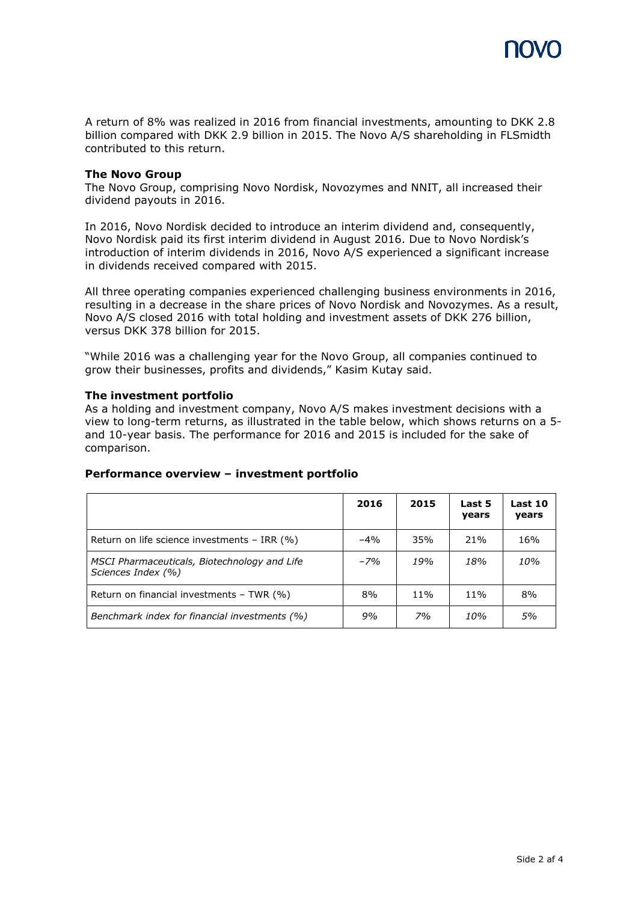

A return of 8% was realized in 2016 from financial investments, amounting to DKK 2.8 billion compared with DKK 2.9 billion in 2015. The Novo A/S shareholding in FLSmidth contributed to this return.

# **The Novo Group**

The Novo Group, comprising Novo Nordisk, Novozymes and NNIT, all increased their dividend payouts in 2016.

In 2016, Novo Nordisk decided to introduce an interim dividend and, consequently, Novo Nordisk paid its first interim dividend in August 2016. Due to Novo Nordisk's introduction of interim dividends in 2016, Novo A/S experienced a significant increase in dividends received compared with 2015.

All three operating companies experienced challenging business environments in 2016, resulting in a decrease in the share prices of Novo Nordisk and Novozymes. As a result, Novo A/S closed 2016 with total holding and investment assets of DKK 276 billion, versus DKK 378 billion for 2015.

"While 2016 was a challenging year for the Novo Group, all companies continued to grow their businesses, profits and dividends," Kasim Kutay said.

#### **The investment portfolio**

As a holding and investment company, Novo A/S makes investment decisions with a view to long-term returns, as illustrated in the table below, which shows returns on a 5 and 10-year basis. The performance for 2016 and 2015 is included for the sake of comparison.

|                                                                    | 2016   | 2015 | Last 5<br>years | Last 10<br>years |
|--------------------------------------------------------------------|--------|------|-----------------|------------------|
| Return on life science investments $-$ IRR $(%)$                   | $-4\%$ | 35%  | 21%             | 16%              |
| MSCI Pharmaceuticals, Biotechnology and Life<br>Sciences Index (%) | $-7%$  | 19%  | 18%             | 10%              |
| Return on financial investments $-$ TWR $(%)$                      | 8%     | 11%  | 11%             | 8%               |
| Benchmark index for financial investments (%)                      | 9%     | 7%   | 10%             | 5%               |

# **Performance overview – investment portfolio**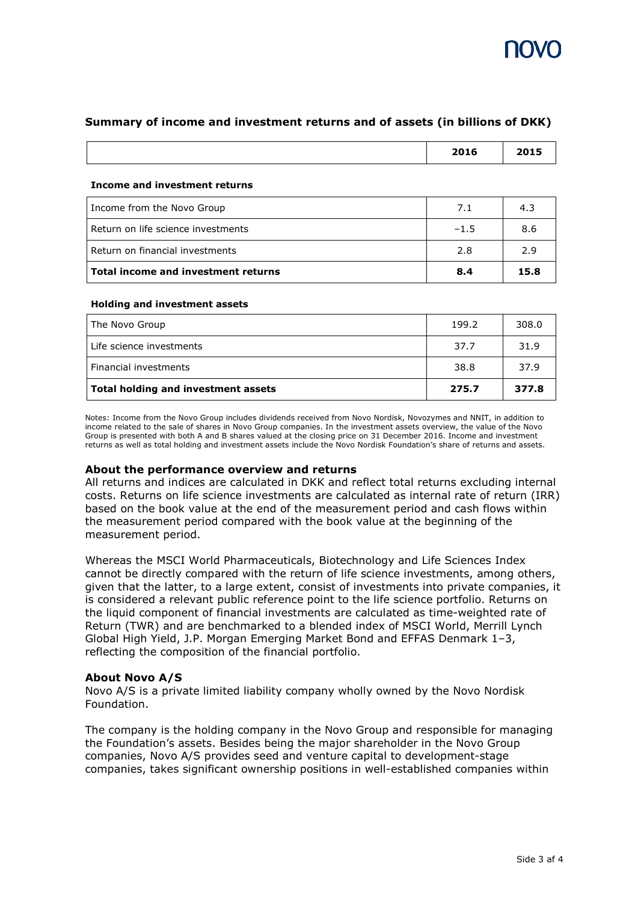# **Summary of income and investment returns and of assets (in billions of DKK)**

| 2016 | 2015<br>-- |
|------|------------|
|      |            |

#### **Income and investment returns**

| Income from the Novo Group          | 7.1    | 4.3  |
|-------------------------------------|--------|------|
| Return on life science investments  | $-1.5$ | 8.6  |
| Return on financial investments     | 2.8    | 2.9  |
| Total income and investment returns | 8.4    | 15.8 |

# **Holding and investment assets**

| The Novo Group                             | 199.2 | 308.0 |
|--------------------------------------------|-------|-------|
| Life science investments                   | 37.7  | 31.9  |
| Financial investments                      | 38.8  | 37.9  |
| <b>Total holding and investment assets</b> | 275.7 | 377.8 |

Notes: Income from the Novo Group includes dividends received from Novo Nordisk, Novozymes and NNIT, in addition to income related to the sale of shares in Novo Group companies. In the investment assets overview, the value of the Novo Group is presented with both A and B shares valued at the closing price on 31 December 2016. Income and investment returns as well as total holding and investment assets include the Novo Nordisk Foundation's share of returns and assets.

# **About the performance overview and returns**

All returns and indices are calculated in DKK and reflect total returns excluding internal costs. Returns on life science investments are calculated as internal rate of return (IRR) based on the book value at the end of the measurement period and cash flows within the measurement period compared with the book value at the beginning of the measurement period.

Whereas the MSCI World Pharmaceuticals, Biotechnology and Life Sciences Index cannot be directly compared with the return of life science investments, among others, given that the latter, to a large extent, consist of investments into private companies, it is considered a relevant public reference point to the life science portfolio. Returns on the liquid component of financial investments are calculated as time-weighted rate of Return (TWR) and are benchmarked to a blended index of MSCI World, Merrill Lynch Global High Yield, J.P. Morgan Emerging Market Bond and EFFAS Denmark 1–3, reflecting the composition of the financial portfolio.

# **About Novo A/S**

Novo A/S is a private limited liability company wholly owned by the Novo Nordisk Foundation.

The company is the holding company in the Novo Group and responsible for managing the Foundation's assets. Besides being the major shareholder in the Novo Group companies, Novo A/S provides seed and venture capital to development-stage companies, takes significant ownership positions in well-established companies within